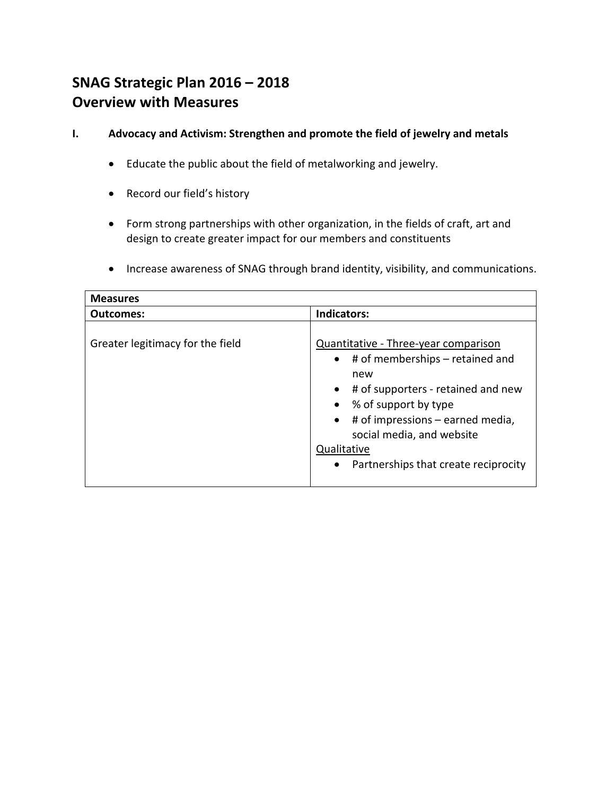## **SNAG Strategic Plan 2016 – 2018 Overview with Measures**

- **I. Advocacy and Activism: Strengthen and promote the field of jewelry and metals**
	- Educate the public about the field of metalworking and jewelry.
	- Record our field's history
	- Form strong partnerships with other organization, in the fields of craft, art and design to create greater impact for our members and constituents
	- Increase awareness of SNAG through brand identity, visibility, and communications.

| <b>Measures</b>                  |                                                                                                                                                                                                                                                                                                                   |
|----------------------------------|-------------------------------------------------------------------------------------------------------------------------------------------------------------------------------------------------------------------------------------------------------------------------------------------------------------------|
| <b>Outcomes:</b>                 | <b>Indicators:</b>                                                                                                                                                                                                                                                                                                |
| Greater legitimacy for the field | Quantitative - Three-year comparison<br>$\bullet$ # of memberships – retained and<br>new<br>$\bullet$ # of supporters - retained and new<br>• % of support by type<br>$\bullet$ # of impressions – earned media,<br>social media, and website<br>Qualitative<br>Partnerships that create reciprocity<br>$\bullet$ |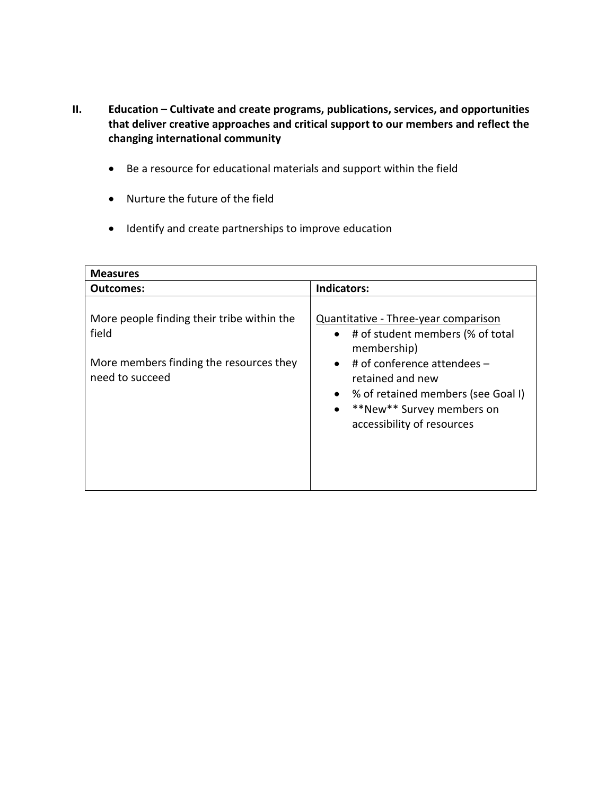- **II. Education – Cultivate and create programs, publications, services, and opportunities that deliver creative approaches and critical support to our members and reflect the changing international community**
	- Be a resource for educational materials and support within the field
	- Nurture the future of the field
	- Identify and create partnerships to improve education

| <b>Measures</b>                                                                                                   |                                                                                                                                                                                                                                                                                      |  |
|-------------------------------------------------------------------------------------------------------------------|--------------------------------------------------------------------------------------------------------------------------------------------------------------------------------------------------------------------------------------------------------------------------------------|--|
| Outcomes:                                                                                                         | Indicators:                                                                                                                                                                                                                                                                          |  |
| More people finding their tribe within the<br>field<br>More members finding the resources they<br>need to succeed | Quantitative - Three-year comparison<br>• # of student members (% of total<br>membership)<br># of conference attendees -<br>$\bullet$<br>retained and new<br>% of retained members (see Goal I)<br>$\bullet$<br>**New** Survey members on<br>$\bullet$<br>accessibility of resources |  |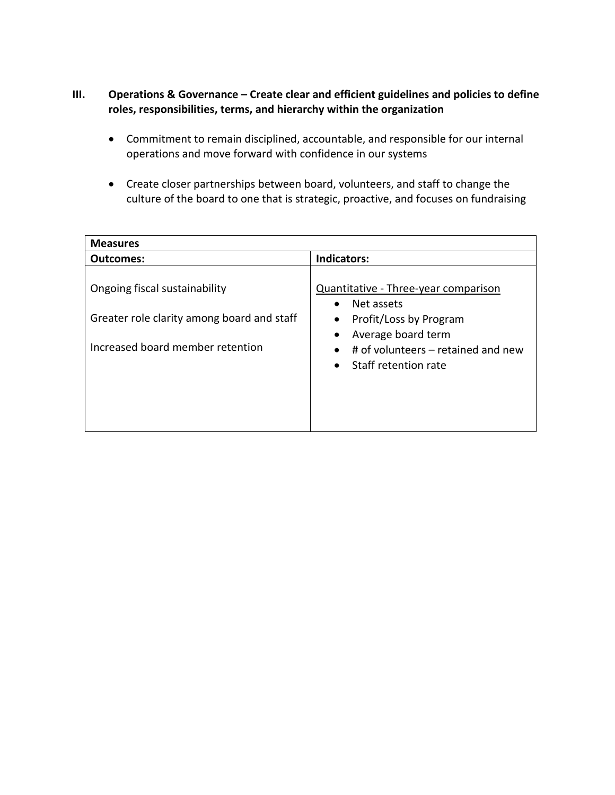## **III. Operations & Governance – Create clear and efficient guidelines and policies to define roles, responsibilities, terms, and hierarchy within the organization**

- Commitment to remain disciplined, accountable, and responsible for our internal operations and move forward with confidence in our systems
- Create closer partnerships between board, volunteers, and staff to change the culture of the board to one that is strategic, proactive, and focuses on fundraising

| <b>Measures</b>                                                                                                 |                                                                                                                                                                                            |
|-----------------------------------------------------------------------------------------------------------------|--------------------------------------------------------------------------------------------------------------------------------------------------------------------------------------------|
| Outcomes:                                                                                                       | <b>Indicators:</b>                                                                                                                                                                         |
| Ongoing fiscal sustainability<br>Greater role clarity among board and staff<br>Increased board member retention | Quantitative - Three-year comparison<br>Net assets<br>$\bullet$<br>Profit/Loss by Program<br>$\bullet$<br>Average board term<br># of volunteers – retained and new<br>Staff retention rate |